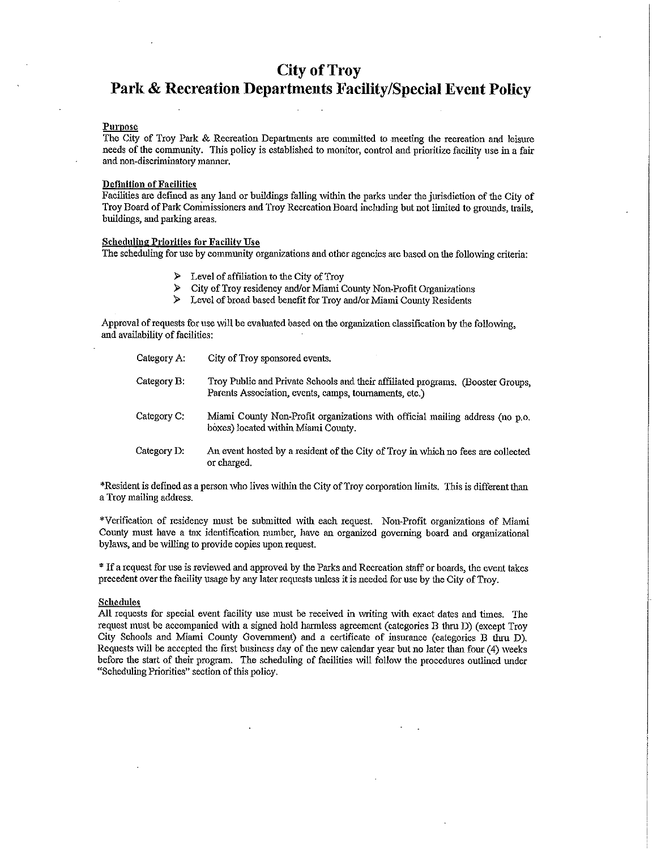## **City of Troy**

# Park & Recreation Departments Facility/Special Event Policy

#### Purpose

The City of Troy Park & Recreation Departments are committed to meeting the recreation and leisure needs of the community. This policy is established to monitor, control and prioritize facility use in a fair and non-discriminatory manner.

#### **Definition of Facilities**

Facilities are defined as any land or buildings falling within the parks under the jurisdiction of the City of Troy Board of Park Commissioners and Troy Recreation Board including but not limited to grounds, trails, buildings, and parking areas.

#### **Scheduling Priorities for Facility Use**

The scheduling for use by community organizations and other agencies are based on the following criteria:

- $\triangleright$  Level of affiliation to the City of Troy
- $\mathbf{z}$ City of Troy residency and/or Miami County Non-Profit Organizations
- $\blacktriangle$ Level of broad based benefit for Troy and/or Miami County Residents

Approval of requests for use will be evaluated based on the organization classification by the following, and availability of facilities:

| Category A:    | City of Troy sponsored events.                                                                                                            |
|----------------|-------------------------------------------------------------------------------------------------------------------------------------------|
| Category B.    | Troy Public and Private Schools and their affiliated programs. (Booster Groups,<br>Parents Association, events, camps, tournaments, etc.) |
| Category C:    | Miami County Non-Profit organizations with official mailing address (no p.o.<br>boxes) located within Miami County.                       |
| Category $D$ . | An event hosted by a resident of the City of Troy in which no fees are collected<br>or charged.                                           |

\*Resident is defined as a person who lives within the City of Troy corporation limits. This is different than a Troy mailing address.

\*Verification of residency must be submitted with each request. Non-Profit organizations of Miami County must have a tax identification number, have an organized governing board and organizational bylaws, and be willing to provide copies upon request.

\* If a request for use is reviewed and approved by the Parks and Recreation staff or boards, the event takes precedent over the facility usage by any later requests unless it is needed for use by the City of Troy.

#### **Schedules**

All requests for special event facility use must be received in writing with exact dates and times. The request must be accompanied with a signed hold harmless agreement (categories B thru D) (except Troy City Schools and Miami County Government) and a certificate of insurance (categories B thru D). Requests will be accepted the first business day of the new calendar year but no later than four (4) weeks before the start of their program. The scheduling of facilities will follow the procedures outlined under "Scheduling Priorities" section of this policy.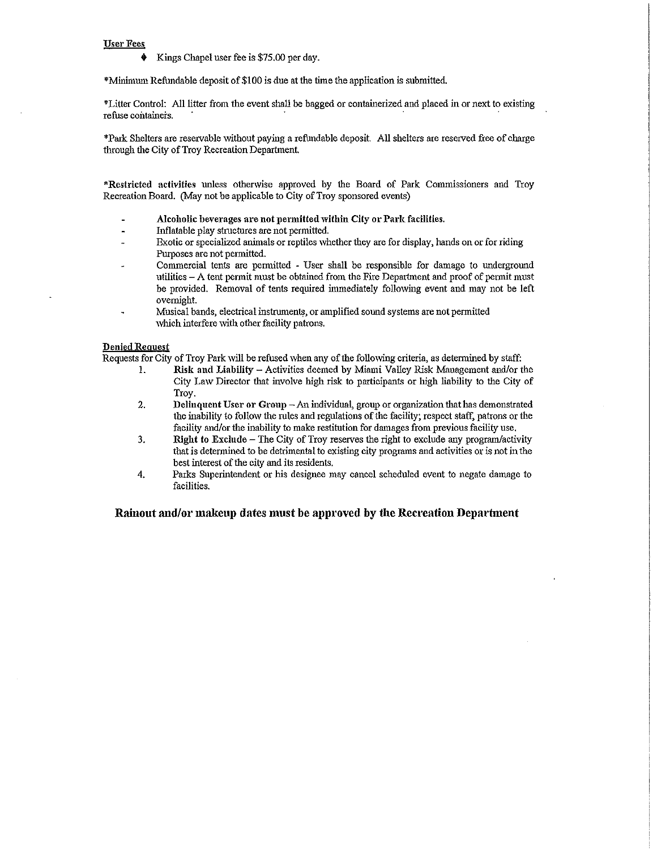#### **User Fees**

Kings Chapel user fee is \$75.00 per day.

\*Minimum Refundable deposit of \$100 is due at the time the application is submitted.

\*Litter Control: All litter from the event shall be bagged or containerized and placed in or next to existing refuse containers.

\*Park Shelters are reservable without paying a refundable deposit. All shelters are reserved free of charge through the City of Troy Recreation Department.

\*Restricted activities unless otherwise approved by the Board of Park Commissioners and Troy Recreation Board. (May not be applicable to City of Troy sponsored events)

- Alcoholic beverages are not permitted within City or Park facilities.
- Inflatable play structures are not permitted.
- Exotic or specialized animals or reptiles whether they are for display, hands on or for riding Purposes are not permitted.
- Commercial tents are permitted User shall be responsible for damage to underground utilities – A tent permit must be obtained from the Fire Department and proof of permit must be provided. Removal of tents required immediately following event and may not be left overnight.
- Musical bands, electrical instruments, or amplified sound systems are not permitted which interfere with other facility patrons.

#### **Denied Request**

Requests for City of Troy Park will be refused when any of the following criteria, as determined by staff:

- $\mathbf{1}$ Risk and Liability - Activities deemed by Miami Valley Risk Management and/or the City Law Director that involve high risk to participants or high liability to the City of Troy.
- $\overline{2}$ . Delinquent User or Group - An individual, group or organization that has demonstrated the inability to follow the rules and regulations of the facility; respect staff, patrons or the facility and/or the inability to make restitution for damages from previous facility use.
- $3.$ Right to Exclude – The City of Troy reserves the right to exclude any program/activity that is determined to be detrimental to existing city programs and activities or is not in the best interest of the city and its residents.
- 4. Parks Superintendent or his designee may cancel scheduled event to negate damage to facilities.

#### Rainout and/or makeup dates must be approved by the Recreation Department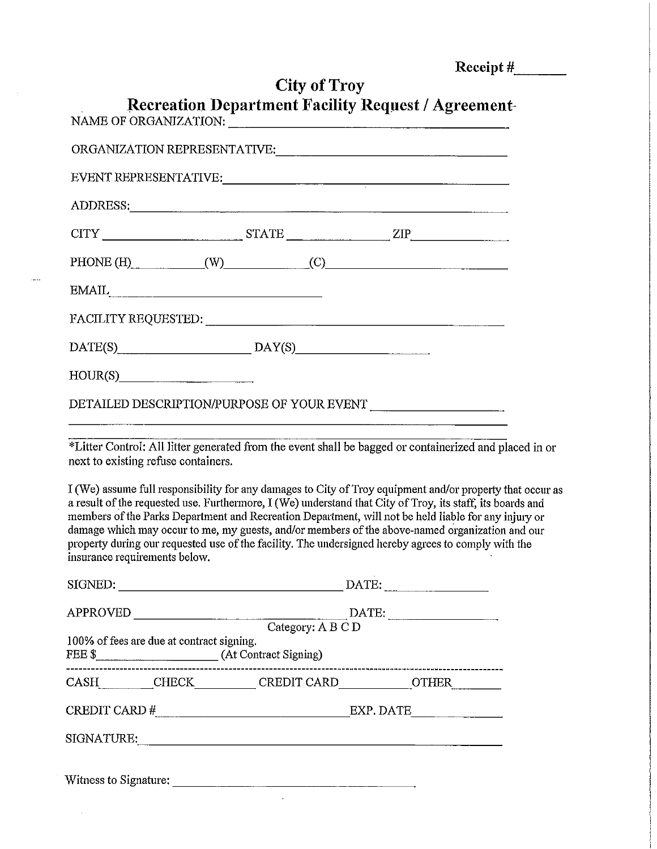| Receipt $#$ |  |
|-------------|--|
|             |  |

|         | <b>Recreation Department Facility Request / Agreement-</b>                                                                                                                                                                     | City of Troy | $\sim$ $\sim$ $\sim$ $\sim$ $\sim$ $\sim$ |
|---------|--------------------------------------------------------------------------------------------------------------------------------------------------------------------------------------------------------------------------------|--------------|-------------------------------------------|
|         |                                                                                                                                                                                                                                |              |                                           |
|         |                                                                                                                                                                                                                                |              |                                           |
|         | EVENT REPRESENTATIVE:                                                                                                                                                                                                          |              |                                           |
|         | ADDRESS: North Contract of the Contract of the Contract of the Contract of the Contract of the Contract of the Contract of the Contract of the Contract of the Contract of the Contract of the Contract of the Contract of the |              |                                           |
|         | $CITY$ $STATE$ $ZIP$                                                                                                                                                                                                           |              |                                           |
|         | PHONE (H) $(W)$ (C)                                                                                                                                                                                                            |              |                                           |
|         | $\pmb{\quad \text{EMAIL}, \quad \quad \quad }$                                                                                                                                                                                 |              |                                           |
|         |                                                                                                                                                                                                                                |              |                                           |
|         | $DATE(S)$ $DAY(S)$                                                                                                                                                                                                             |              |                                           |
| HOUR(S) |                                                                                                                                                                                                                                |              |                                           |
|         |                                                                                                                                                                                                                                |              |                                           |

\*Litter Control: All litter generated from the event shall be bagged or containerized and placed in or next to existing refuse containers.

I (We) assume full responsibility for any damages to City of Troy equipment and/or property that occur as a result of the requested use. Furthermore, I (We) understand that City of Troy, its staff, its boards and members of the Parks Department and Recreation Department, will not be held liable for any injury or damage which may occur to me, my guests, and/or members of the above-named organization and our property during our requested use of the facility. The undersigned hereby agrees to comply with the insurance requirements below.

| SIGNED:                                   | $\text{DATE:}\n \overbrace{\phantom{aaaaa}}$ |                                                            |                          |  |  |
|-------------------------------------------|----------------------------------------------|------------------------------------------------------------|--------------------------|--|--|
| <b>APPROVED</b>                           |                                              | DA<br>Category: A B C D                                    |                          |  |  |
| 100% of fees are due at contract signing. |                                              |                                                            | ------------------------ |  |  |
|                                           |                                              | CASH_________CHECK__________CREDIT CARD_____________OTHER_ |                          |  |  |
|                                           |                                              |                                                            | EXP. DATE                |  |  |
|                                           |                                              | SIGNATURE:                                                 |                          |  |  |
|                                           |                                              |                                                            |                          |  |  |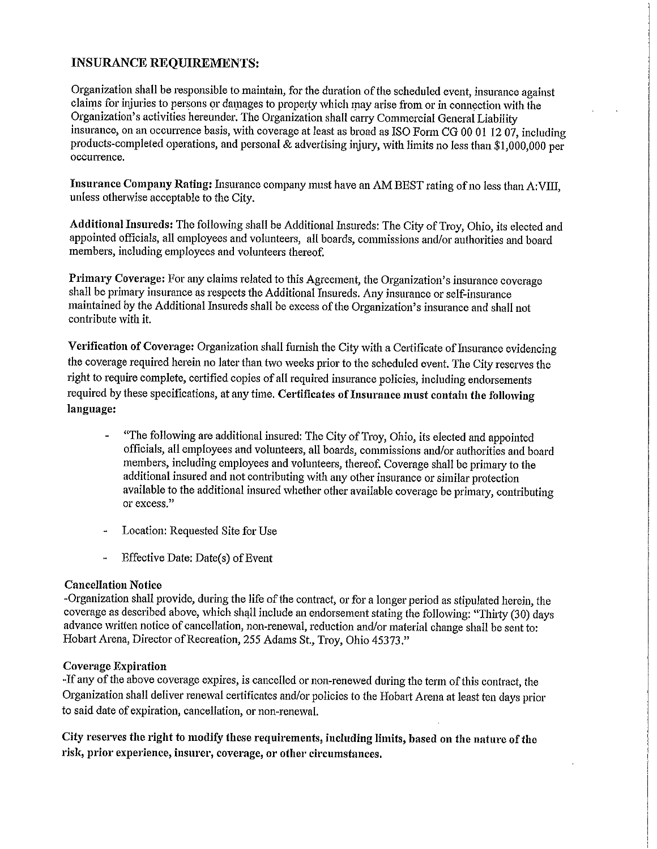## **INSURANCE REQUIREMENTS:**

Organization shall be responsible to maintain, for the duration of the scheduled event, insurance against claims for injuries to persons or damages to property which may arise from or in connection with the Organization's activities hereunder. The Organization shall carry Commercial General Liability insurance, on an occurrence basis, with coverage at least as broad as ISO Form CG 00 01 12 07, including products-completed operations, and personal & advertising injury, with limits no less than \$1,000,000 per occurrence.

Insurance Company Rating: Insurance company must have an AM BEST rating of no less than A:VIII, unless otherwise acceptable to the City.

Additional Insureds: The following shall be Additional Insureds: The City of Troy, Ohio, its elected and appointed officials, all employees and volunteers, all boards, commissions and/or authorities and board members, including employees and volunteers thereof.

Primary Coverage: For any claims related to this Agreement, the Organization's insurance coverage shall be primary insurance as respects the Additional Insureds. Any insurance or self-insurance maintained by the Additional Insureds shall be excess of the Organization's insurance and shall not contribute with it.

Verification of Coverage: Organization shall furnish the City with a Certificate of Insurance evidencing the coverage required herein no later than two weeks prior to the scheduled event. The City reserves the right to require complete, certified copies of all required insurance policies, including endorsements required by these specifications, at any time. Certificates of Insurance must contain the following language:

- "The following are additional insured: The City of Troy, Ohio, its elected and appointed officials, all employees and volunteers, all boards, commissions and/or authorities and board members, including employees and volunteers, thereof. Coverage shall be primary to the additional insured and not contributing with any other insurance or similar protection available to the additional insured whether other available coverage be primary, contributing or excess."
- Location: Requested Site for Use
- Effective Date: Date(s) of Event  $\ddot{\phantom{1}}$

## **Cancellation Notice**

-Organization shall provide, during the life of the contract, or for a longer period as stipulated herein, the coverage as described above, which shall include an endorsement stating the following: "Thirty (30) days advance written notice of cancellation, non-renewal, reduction and/or material change shall be sent to: Hobart Arena, Director of Recreation, 255 Adams St., Troy, Ohio 45373."

## **Coverage Expiration**

-If any of the above coverage expires, is cancelled or non-renewed during the term of this contract, the Organization shall deliver renewal certificates and/or policies to the Hobart Arena at least ten days prior to said date of expiration, cancellation, or non-renewal.

City reserves the right to modify these requirements, including limits, based on the nature of the risk, prior experience, insurer, coverage, or other circumstances.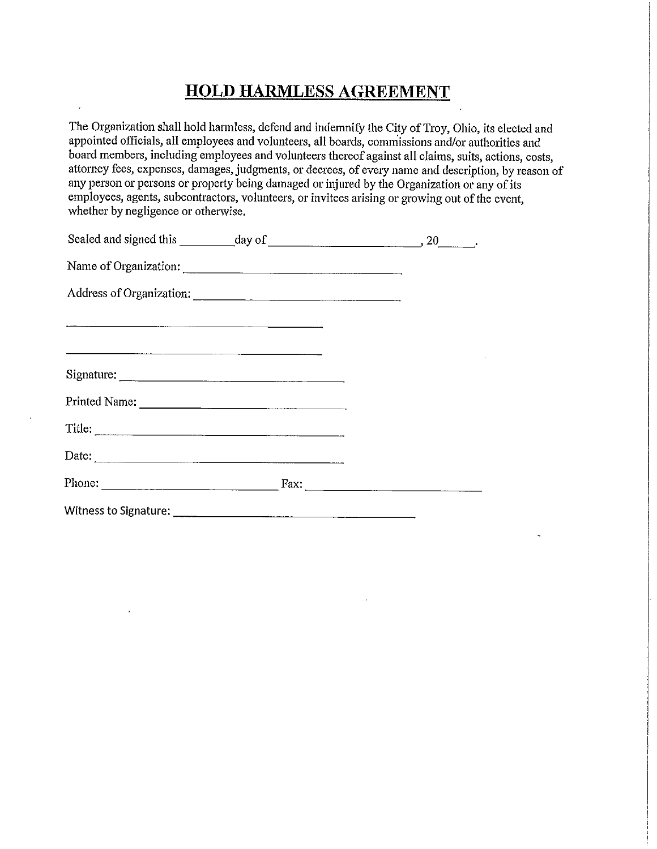# **HOLD HARMLESS AGREEMENT**

The Organization shall hold harmless, defend and indemnify the City of Troy, Ohio, its elected and appointed officials, all employees and volunteers, all boards, commissions and/or authorities and board members, including employees and volunteers thereof against all claims, suits, actions, costs, attorney fees, expenses, damages, judgments, or decrees, of every name and description, by reason of any person or persons or property being damaged or injured by the Organization or any of its employees, agents, subcontractors, volunteers, or invitees arising or growing out of the event, whether by negligence or otherwise.

|                       | Name of Organization:                                          |  |
|-----------------------|----------------------------------------------------------------|--|
|                       | Address of Organization:                                       |  |
|                       |                                                                |  |
|                       |                                                                |  |
|                       |                                                                |  |
| Printed Name:         |                                                                |  |
|                       |                                                                |  |
|                       |                                                                |  |
|                       | Phone: $\qquad \qquad \qquad \text{Fax:} \qquad \qquad \qquad$ |  |
| Witness to Signature: |                                                                |  |